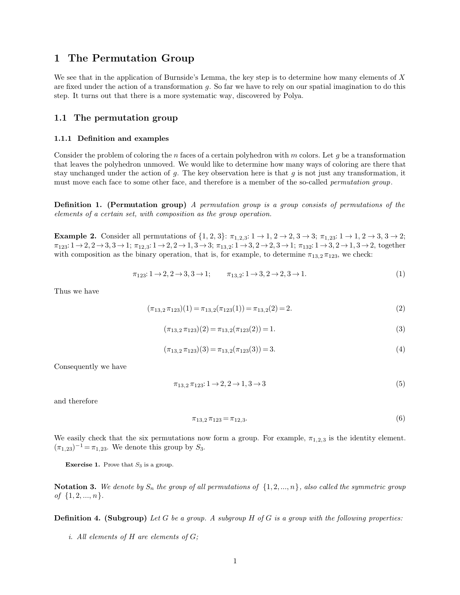**<sup>1</sup> The Permutation Group 1 The Permutation Group**<br>We see that in the application of Burnside's Lemma, the key step is to determine how many elements of *X*<br>are fixed under the action of a transformation  $g$ . So far we have to rely on our spatial **1 The Permutation Group**<br>We see that in the application of Burnside's Lemma, the key step is to determine how many elements of  $X$ <br>are fixed under the action of a transformation  $g$ . So far we have to rely on our spatial **1 The Permutation Group**<br>We see that in the application of Burnside's Lemma, the key step is to determinate fixed under the action of a transformation g. So far we have to rely on our space.<br>Step. It turns out that there We see that in the application of Burnside's Lemmare fixed under the action of a transformation *g*. So<br>step. It turns out that there is a more systematic<br>**1.1 The permutation group** 1.1 **11.1 Definition and examples 1.1.1 Definition and examples** 

**1.1.1 Definition and examples**<br>Consider the problem of coloring the *n* faces of a certain polyhedron with *m* colors. Let *g* be a transformation<br>that leaves the polyhedron unmoved. We would like to determine how many w **1.1.1 Definition and examples**<br>**2.1.1.1 Definition and examples**<br>Consider the problem of coloring the *n* faces of a certain polyhedron with *m* colors. Let *g* be a transformation<br>that leaves the polyhedron unmoved. We **1.1.1 Definition and examples**<br>Consider the problem of coloring the *n* faces of a certain polyhedron with *m* colors. Let *g* be a transformation<br>that leaves the polyhedron unmoved. We would like to determine how many w **1.1.1 Definition and examples**<br>Consider the problem of coloring the *n* faces of a certain polyhedron with *m* colors. Let *g* be a transformation<br>that leaves the polyhedron unmoved. We would like to determine how many w that leaves the polyhedron unmoved. We would like to determine how many ways of coloring are there that stay unchanged under the action of  $g$ . The key observation here is that  $g$  is not just any transformation, it must *elements of a certain set, with composition as the group operation setellants of a certain set, with composition as the group operation.* 

**Definition 1. (Permutation group)** *A permutation group is a group consists of permutations of the elements of a certain set, with composition as the group operation.*<br> **Example 2.** Consider all permutations of  $\{1, 2,$ elements of a certain set, with composition as the group operation.<br> **Example 2.** Consider all permutations of  $\{1, 2, 3\}$ :  $\pi_{1,2,3}$ :  $1 \rightarrow 1, 2 \rightarrow 2, 3 \rightarrow 3$ ;  $\pi_{1,23}$ :  $1 \rightarrow 1, 2 \rightarrow 3, 3$ <br>  $\pi_{123}$ :  $1 \rightarrow 2, 2 \rightarrow 3, 3 \$ all permutations of  $\{1, 2, 3\}$ :  $\pi_{1,2,3}: 1 \to 1, 2 \to 2, 3 \to 3$ ;  $\pi_{1,2,3}: 1 \to 1, 2 \to 3, 3 \to 2$ ;<br>  $\pi_{12,3}: 1 \to 2, 2 \to 1, 3 \to 3$ ;  $\pi_{13,2}: 1 \to 3, 2 \to 2, 3 \to 1$ ;  $\pi_{132}: 1 \to 3, 2 \to 1, 3 \to 2$ , together<br>
binary operati with composition as the binary operation, that is, for example, to determine  $\pi_{13,2}\pi_{123}$ , we check:<br> $\pi_{123}: 1 \rightarrow 2, 2 \rightarrow 3, 3 \rightarrow 1;$   $\pi_{13,2}: 1 \rightarrow 3, 2 \rightarrow 2, 3 \rightarrow 1.$ <br>Thus we have

$$
\pi_{123}: 1 \to 2, 2 \to 3, 3 \to 1; \qquad \pi_{13,2}: 1 \to 3, 2 \to 2, 3 \to 1. \tag{1}
$$

$$
\pi_{13,2}: 1 \to 2, 2 \to 3, 3 \to 1; \qquad \pi_{13,2}: 1 \to 3, 2 \to 2, 3 \to 1.
$$
\n
$$
(\pi_{13,2} \pi_{123})(1) = \pi_{13,2}(\pi_{123}(1)) = \pi_{13,2}(2) = 2.
$$
\n
$$
(2)
$$

Thus we have  
\n
$$
(\pi_{13,2}\pi_{123})(1) = \pi_{13,2}(\pi_{123}(1)) = \pi_{13,2}(2) = 2.
$$
\n(2)  
\n
$$
(\pi_{13,2}\pi_{123})(2) = \pi_{13,2}(\pi_{123}(2)) = 1.
$$
\n(3)  
\n
$$
(\pi_{13,2}\pi_{123})(3) = \pi_{13,2}(\pi_{123}(3)) = 3.
$$
\n(4)  
\nConsequently we have  
\n
$$
\pi_{13,2}\pi_{123}: 1 \rightarrow 2, 2 \rightarrow 1, 3 \rightarrow 3
$$
\n(5)

$$
(\pi_{13,2}\pi_{123})(3) = \pi_{13,2}(\pi_{123}(3)) = 3.
$$
\n<sup>(4)</sup>

Consequently we have  
\n
$$
\pi_{13,2}\pi_{123}: 1 \to 2, 2 \to 1, 3 \to 3
$$
\n
$$
\pi_{13,2}\pi_{123} = \pi_{12,3}.
$$
\n(5)

$$
\pi_{13,2}\,\pi_{123} = \pi_{12,3}.\tag{6}
$$

and therefore  $\pi_{13,2}\pi_{123} = \pi_{12,3}$ . (6)<br>We easily check that the six permutations now form a group. For example,  $\pi_{1,2,3}$  is the identity element.  $(\pi_{1,23})^{-1} = \pi_{1,23}$ . We denote this group by *S*<sub>3</sub>.<br>**Exercise 1.** Prove that *S*<sub>3</sub> is a group.

**Notation 3.** We denote by  $S_n$  the group of all permutations of  $\{1, 2, ..., n\}$ , also called the symmetric group of  $\{1, 2, ..., n\}$ . **Exercise 1.** Prove tha<br>**Notation 3.** We denot<br>of  $\{1, 2, ..., n\}$ . **Notation 3.** We denote by  $S_n$  the group of all permutations of  $\{1, 2, ..., n\}$ , also called the symmetric group of  $\{1, 2, ..., n\}$ .<br>**Definition 4. (Subgroup)** *Let G be a group. A subgroup H* of *G is a group with t of*  $\{1, 2, ..., n\}$ .<br> **Definition 4. (Subgroup)** Let G be a group. A subgroup H of G is a group with the following properties:<br> *i.* All elements of H are elements of G;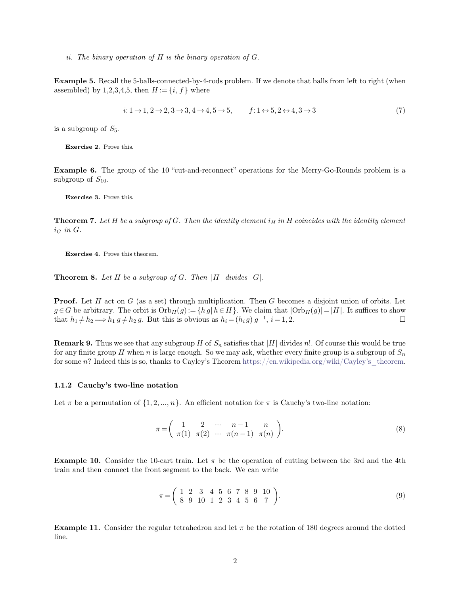*ii. The binary operation of <sup>H</sup> is the binary operation of <sup>G</sup>.*

*ii. The binary operation of H is the binary operation of G.*<br> **Example 5.** Recall the 5-balls-connected-by-4-rods problem. If we denote that balls from left to right (when assembled) by 1,2,3,4,5, then  $H := \{i, f\}$  where ii. The binary operation of *H* is the binary operation<br>**Example 5.** Recall the 5-balls-connected-by-4-rods profassembled) by 1,2,3,4,5, then  $H := \{i, f\}$  where **Example 5.** Recall the 5-balls-connected-by-4-rods problem. If we denote that balls from left to right (when assembled) by 1,2,3,4,5, then  $H := \{i, f\}$  where<br>  $i: 1 \rightarrow 1, 2 \rightarrow 2, 3 \rightarrow 3, 4 \rightarrow 4$ <br>
is a subgroup of *S*<sub>5</sub>.<br> **Exercise 2.** Prove this.

$$
i: 1 \to 1, 2 \to 2, 3 \to 3, 4 \to 4, 5 \to 5, \qquad f: 1 \leftrightarrow 5, 2 \leftrightarrow 4, 3 \to 3 \tag{7}
$$

**Exercise 2.** Prove this.

**Example 6.** The group of the 10 "cut-and-reconnect" operations for the Merry-Go-Rounds problem is a subgroup of  $S_{10}$ . **Exercise 2.** Prove t<br>**Example 6.** The gr<br>subgroup of  $S_{10}$ . **Exercise 3.** Prove this.<br>**Exercise 3.** Prove this.

**Theorem 7.** *Let H be a subgroup of G. Then the identity element*  $i_H$  *in H coincides with the identity element*  $i_G$  *in G.*  $i_G$  *in*  $G$ *.* **Exercise 4.** Prove this theorem.<br>**Exercise 4.** Prove this theorem.

**Theorem 8.** *Let H be a subgroup of G. Then*  $|H|$  *divides*  $|G|$ *.* 

**Proof.** Let *H* act on *G* (as a set) through multiplication. Then *G* becomes a disjoint union of orbits. Let  $g \in G$  be arbitrary. The orbit is  $\text{Orb}_H(g) := \{ h g | h \in H \}$ . We claim that  $|\text{Orb}_H(g)| = |H|$ . It suffices to show **Theorem 8.** Let H be a subgroup of G. Then |H| divides |G|.<br> **Proof.** Let H act on G (as a set) through multiplication. Then G becomes a disjoint union of orbits. Let  $g \in G$  be arbitrary. The orbit is  $\text{Orb}_H(g) := \{ h g | h \in$ **Proof.** Let *H* act on *G* (as a set) through multiplication. Then *G* becomes a disjoint union of orbits. Let  $g \in G$  be arbitrary. The orbit is  $Orb_H(g) := \{ h g | h \in H \}$ . We claim that  $|Orb_H(g)| = |H|$ . It suffices to show that *i G* becomes a disjoint union of orbits. Let m that  $|\text{Orb}_H(g)| = |H|$ . It suffices to show  $i = 1, 2$ . **Proof.** Let *H* act on *G* (as a set) through multiplication. Then *G* becomes a disjoint union of orbits. Let  $g \in G$  be arbitrary. The orbit is  $Orb_H(g) := \{h g | h \in H\}$ . We claim that  $|Orb_H(g)| = |H|$ . It suffices to show that that  $h_1 \neq h_2 \Longrightarrow h_1 g \neq h_2 g$ . But this is obvious as  $h_i = (h_i g) g^{-1}$ ,  $i = 1, 2$ .  $\square$ <br>**Remark 9.** Thus we see that any subgroup *H* of  $S_n$  satisfies that |*H*| divides *n*!. Of course this would be true

 $g \in G$  be arbitrary. The orbit is  $\text{Orb}_H(g) := \{h g \mid h \in H\}$ . We claim that  $|\text{Orb}_H(g)| = |H|$ . It suffices to show<br>that  $h_1 \neq h_2 \Longrightarrow h_1 g \neq h_2 g$ . But this is obvious as  $h_i = (h_i g) g^{-1}$ ,  $i = 1, 2$ .<br>**Remark 9.** Thus we see that for any finite group *H* when *n* is large enough. So we may ask, whether every finite group is a subgroup of  $S_n$  for some *n*? Indeed this is so, thanks to Cayley's Theorem https://en.wikipedia.org/wiki/Cayley's\_theorem for some n? Indeed this is so, thanks to Cayley's Theorem https://en.wikipedia.org/wiki/Cayley's theorem.

Let  $\pi$  be a permutation of  $\{1, 2, ..., n\}$ . An efficient notation for  $\pi$  is Cauchy's two-line notation:

$$
\pi = \left(\begin{array}{cccc} 1 & 2 & \cdots & n-1 & n \\ \pi(1) & \pi(2) & \cdots & \pi(n-1) & \pi(n) \end{array}\right).
$$
 (8)

**Example 10.** Consider the 10-cart train. Let  $\pi$  be the operation of cutting between the 3rd and the 4th train and then connect the front segment to the back. We can write  $\pi = \begin{pmatrix} 1 & 2 & \cdots & n-1 & n \\ \pi(1) & \pi(2) & \cdots & \pi(n-1) & \pi(n) \end{pmatrix}$ .<br> **Example 10.** Consider the 10-cart train. Let  $\pi$  be the operation of cuttine train and then connect the front segment to the back. We can write

\n -cart train. Let 
$$
\pi
$$
 be the operation of cutting between the 3rd and the 4th t segment to the back. We can write\n 
$$
\pi = \begin{pmatrix}\n 1 & 2 & 3 & 4 & 5 & 6 & 7 & 8 & 9 & 10 \\
 8 & 9 & 10 & 1 & 2 & 3 & 4 & 5 & 6 & 7\n \end{pmatrix}
$$
\n

\n\n (9)\n

**Example 11.** Consider the regular tetrahedron and let  $\pi$  be the rotation of 180 degrees around the dotted line.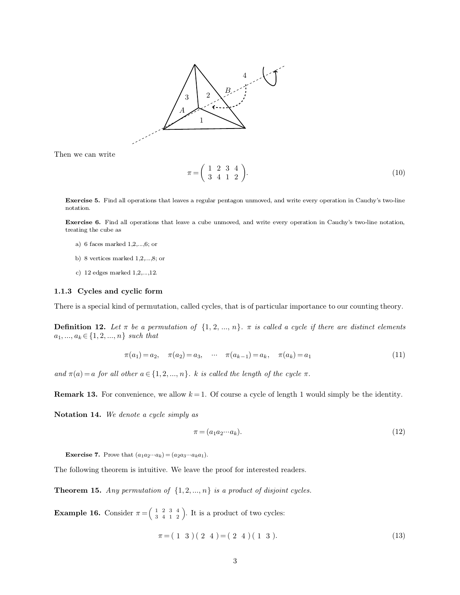

$$
\pi = \left(\begin{array}{cccc} 1 & 2 & 3 & 4 \\ 3 & 4 & 1 & 2 \end{array}\right).
$$
 (10)

**Exercise 5.** Find all operations that leaves a regular pentagon unmoved, and write every operation in Cauchy's two-line notation. notation.

<span id="page-2-0"></span>**Exercise 5.** Find all operations that leaves a regular pentagon unmoved, and write every operation in Cauchy's two-line notation, **Exercise 6.** Find all operations that leave a cube unmoved, and write every operation in C **Exercise 5.** Find all operations that leads<br>the cube as a) 6 faces marked 1,2,...,6; or<br>b) 8 raving marked 1,2,...,6; or b) 8 vertices marked 1,2,...,6; or c) 12 edges marked 1,2,...,12.

- 
- 
- 

**1.1.3 Cycles and cyclic form**<br>**1.1.3 Cycles and cyclic form**<br>**1.1.3 Cycles and cyclic form**<br>**There is a special kind of permutation**, called cycl There is a special kind of permutation, called cycles, that is of particular importance to our counting theory.<br>There is a special kind of permutation, called cycles, that is of particular importance to our counting theory

**1.1.3 Cycles and cyclic form**<br>There is a special kind of permutation, called cycles, that is of particular importance to our counting theory.<br>**Definition 12.** Let  $\pi$  be a permutation of  $\{1, 2, ..., n\}$ .  $\pi$  is called a **1.1.3** Cycles and cyclic form<br>
There is a special kind of permutation, called cycles, that is of particular importance to our counting theory.<br> **Definition 12.** Let  $\pi$  be a permutation of  $\{1, 2, ..., n\}$ .  $\pi$  is called  $a_1, ..., a_k \in \{1, 2, ..., n\}$  such that<br>  $\pi(a_1) = a_2, \quad \pi(a_2) = a_3, \quad \cdots \quad \pi(a_{k-1}) = a_k, \quad \pi(a_k) = a_1$  (11)<br>
and  $\pi(a) = a$  for all other  $a \in \{1, 2, ..., n\}$ . *k is called the length of the cycle*  $\pi$ .<br> **Remark 13.** For convenience, we a

$$
\pi(a_1) = a_2, \quad \pi(a_2) = a_3, \quad \cdots \quad \pi(a_{k-1}) = a_k, \quad \pi(a_k) = a_1 \tag{11}
$$

and  $\pi(a) = a$  for all other  $a \in \{1, 2, ..., n\}$ . *k is called the length of the cycle*  $\pi$ .<br> **Remark 13.** For convenience, we allow  $k = 1$ . Of course a cycle of length 1 would simply be the identity.<br> **Notation 14.** We denot

$$
\pi = (a_1 a_2 \cdots a_k). \tag{12}
$$

**Exercise 7.** Prove that  $(a_1a_2\cdots a_k) = (a_2a_3\cdots a_ka_1)$ .<br>The following theorem is intuitive. We leave the proof for interested readers.

**Theorem 15.** *Any permutation of*  $\{1, 2, ..., n\}$  *is a product of disjoint cycles.* 

**Example 16.** Consider  $\pi = \begin{pmatrix} 1 & 2 & 3 & 4 \\ 3 & 4 & 1 & 2 \end{pmatrix}$ . on of  $\{1, 2, ..., n\}$ <br>  $\begin{pmatrix} 1 & 2 & 3 & 4 \\ 3 & 4 & 1 & 2 \end{pmatrix}$ . It is tive. We leave the proof for interested reader<br>
on of  $\{1, 2, ..., n\}$  is a product of disjoint cycles:<br>  $\frac{1}{3}$   $\frac{2}{4}$   $\frac{3}{2}$   $\}$ . It is a product of two cycles:

$$
\begin{array}{c}\n\text{2 } 3 \text{ } 4 \\
\text{4 } 1 \text{ } 2\n\end{array}
$$
\nIt is a product of two cycles:

\n
$$
\pi = (1 \ 3) (2 \ 4) = (2 \ 4) (1 \ 3).
$$
\n(13)